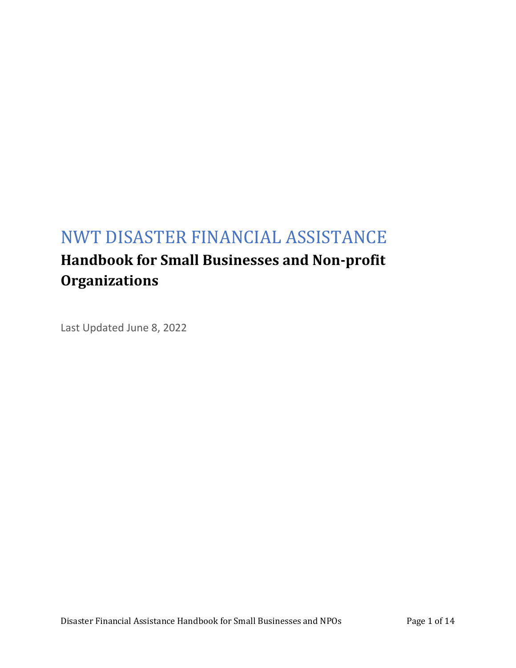# NWT DISASTER FINANCIAL ASSISTANCE **Handbook for Small Businesses and Non-profit Organizations**

Last Updated June 8, 2022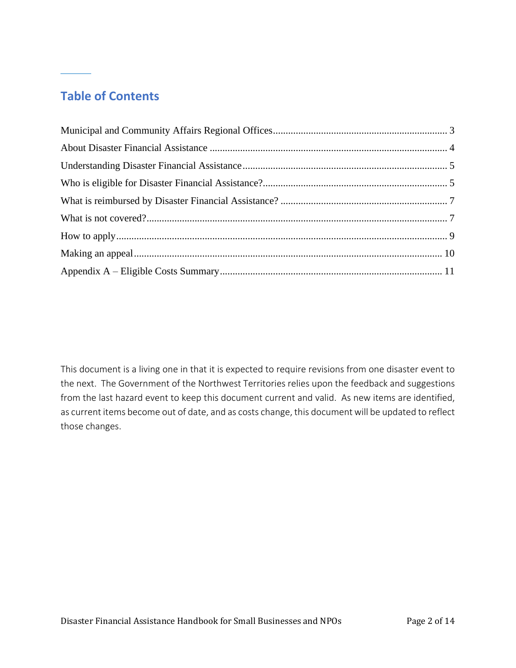# **Table of Contents**

This document is a living one in that it is expected to require revisions from one disaster event to the next. The Government of the Northwest Territories relies upon the feedback and suggestions from the last hazard event to keep this document current and valid. As new items are identified, as current items become out of date, and as costs change, this document will be updated to reflect those changes.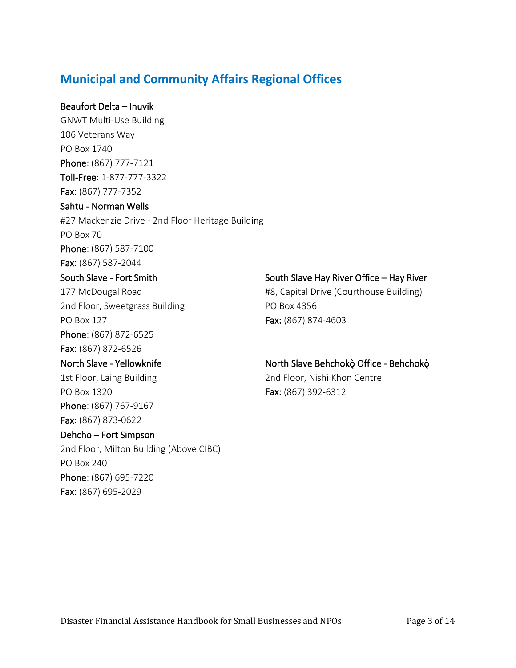### <span id="page-2-0"></span>**Municipal and Community Affairs Regional Offices**

### Beaufort Delta – Inuvik

GNWT Multi-Use Building 106 Veterans Way PO Box 1740 Phone: (867) 777-7121 Toll-Free: 1-877-777-3322 Fax: (867) 777-7352

### Sahtu - Norman Wells

#27 Mackenzie Drive - 2nd Floor Heritage Building PO Box 70 Phone: (867) 587-7100 Fax: (867) 587-2044

### South Slave - Fort Smith

177 McDougal Road 2nd Floor, Sweetgrass Building PO Box 127 Phone: (867) 872-6525

Fax: (867) 872-6526

#### North Slave - Yellowknife

1st Floor, Laing Building PO Box 1320 Phone: (867) 767-9167

### Fax: (867) 873-0622

Dehcho – Fort Simpson 2nd Floor, Milton Building (Above CIBC) PO Box 240 Phone: (867) 695-7220 Fax: (867) 695-2029

### South Slave Hay River Office – Hay River

#8, Capital Drive (Courthouse Building) PO Box 4356 Fax: (867) 874-4603

### North Slave Behchokò Office - Behchokò 2nd Floor, Nishi Khon Centre Fax: (867) 392-6312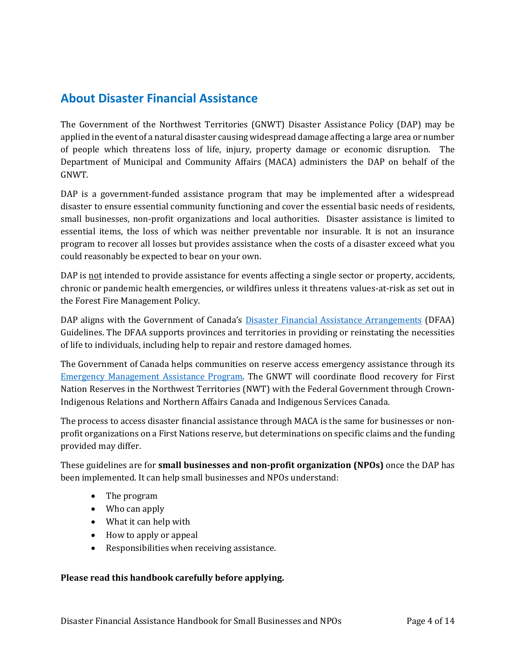### <span id="page-3-0"></span>**About Disaster Financial Assistance**

The Government of the Northwest Territories (GNWT) Disaster Assistance Policy (DAP) may be applied in the event of a natural disaster causing widespread damage affecting a large area or number of people which threatens loss of life, injury, property damage or economic disruption. The Department of Municipal and Community Affairs (MACA) administers the DAP on behalf of the GNWT.

DAP is a government-funded assistance program that may be implemented after a widespread disaster to ensure essential community functioning and cover the essential basic needs of residents, small businesses, non-profit organizations and local authorities. Disaster assistance is limited to essential items, the loss of which was neither preventable nor insurable. It is not an insurance program to recover all losses but provides assistance when the costs of a disaster exceed what you could reasonably be expected to bear on your own.

DAP is not intended to provide assistance for events affecting a single sector or property, accidents, chronic or pandemic health emergencies, or wildfires unless it threatens values-at-risk as set out in the Forest Fire Management Policy.

DAP aligns with the Government of Canada's **[Disaster Financial Assistance Arrangements](https://www.publicsafety.gc.ca/cnt/mrgnc-mngmnt/rcvr-dsstrs/gdlns-dsstr-ssstnc/index-en.aspx)** (DFAA) Guidelines. The DFAA supports provinces and territories in providing or reinstating the necessities of life to individuals, including help to repair and restore damaged homes.

The Government of Canada helps communities on reserve access emergency assistance through its [Emergency Management Assistance Program.](https://www.sac-isc.gc.ca/eng/1534954090122/1535120506707) The GNWT will coordinate flood recovery for First Nation Reserves in the Northwest Territories (NWT) with the Federal Government through Crown-Indigenous Relations and Northern Affairs Canada and Indigenous Services Canada.

The process to access disaster financial assistance through MACA is the same for businesses or nonprofit organizations on a First Nations reserve, but determinations on specific claims and the funding provided may differ.

These guidelines are for **small businesses and non-profit organization (NPOs)** once the DAP has been implemented. It can help small businesses and NPOs understand:

- The program
- Who can apply
- What it can help with
- How to apply or appeal
- Responsibilities when receiving assistance.

#### **Please read this handbook carefully before applying.**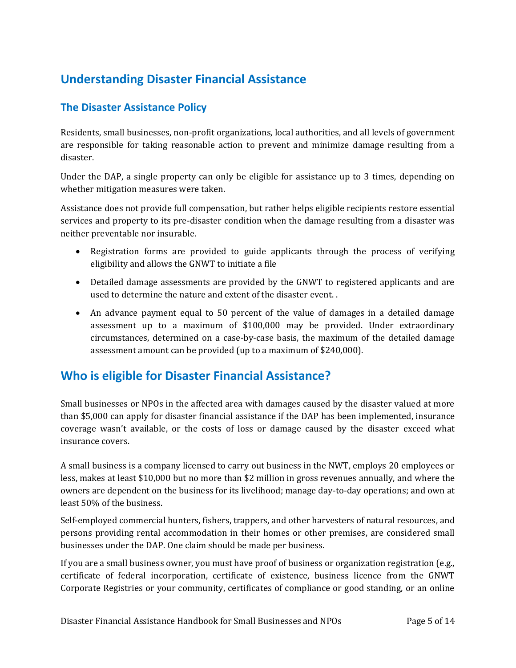# <span id="page-4-0"></span>**Understanding Disaster Financial Assistance**

### **The Disaster Assistance Policy**

Residents, small businesses, non-profit organizations, local authorities, and all levels of government are responsible for taking reasonable action to prevent and minimize damage resulting from a disaster.

Under the DAP, a single property can only be eligible for assistance up to 3 times, depending on whether mitigation measures were taken.

Assistance does not provide full compensation, but rather helps eligible recipients restore essential services and property to its pre-disaster condition when the damage resulting from a disaster was neither preventable nor insurable.

- Registration forms are provided to guide applicants through the process of verifying eligibility and allows the GNWT to initiate a file
- Detailed damage assessments are provided by the GNWT to registered applicants and are used to determine the nature and extent of the disaster event. .
- An advance payment equal to 50 percent of the value of damages in a detailed damage assessment up to a maximum of \$100,000 may be provided. Under extraordinary circumstances, determined on a case-by-case basis, the maximum of the detailed damage assessment amount can be provided (up to a maximum of \$240,000).

### <span id="page-4-1"></span>**Who is eligible for Disaster Financial Assistance?**

Small businesses or NPOs in the affected area with damages caused by the disaster valued at more than \$5,000 can apply for disaster financial assistance if the DAP has been implemented, insurance coverage wasn't available, or the costs of loss or damage caused by the disaster exceed what insurance covers.

A small business is a company licensed to carry out business in the NWT, employs 20 employees or less, makes at least \$10,000 but no more than \$2 million in gross revenues annually, and where the owners are dependent on the business for its livelihood; manage day-to-day operations; and own at least 50% of the business.

Self-employed commercial hunters, fishers, trappers, and other harvesters of natural resources, and persons providing rental accommodation in their homes or other premises, are considered small businesses under the DAP. One claim should be made per business.

If you are a small business owner, you must have proof of business or organization registration (e.g., certificate of federal incorporation, certificate of existence, business licence from the GNWT Corporate Registries or your community, certificates of compliance or good standing, or an online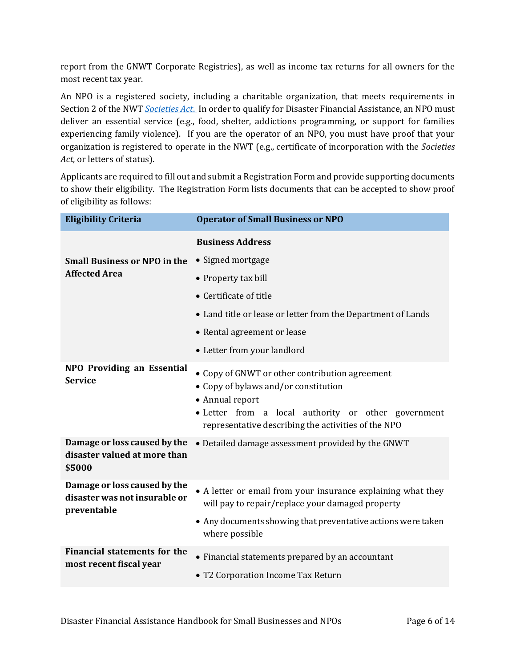report from the GNWT Corporate Registries), as well as income tax returns for all owners for the most recent tax year.

An NPO is a registered society, including a charitable organization, that meets requirements in Section 2 of the NWT *[Societies Act](https://www.justice.gov.nt.ca/en/files/legislation/societies/societies.a.pdf)*. In order to qualify for Disaster Financial Assistance, an NPO must deliver an essential service (e.g., food, shelter, addictions programming, or support for families experiencing family violence). If you are the operator of an NPO, you must have proof that your organization is registered to operate in the NWT (e.g., certificate of incorporation with the *Societies Act*, or letters of status).

Applicants are required to fill out and submit a Registration Form and provide supporting documents to show their eligibility. The Registration Form lists documents that can be accepted to show proof of eligibility as follows:

| <b>Eligibility Criteria</b>                                                  | <b>Operator of Small Business or NPO</b>                                                                                                                                                                                |
|------------------------------------------------------------------------------|-------------------------------------------------------------------------------------------------------------------------------------------------------------------------------------------------------------------------|
|                                                                              | <b>Business Address</b>                                                                                                                                                                                                 |
| <b>Small Business or NPO in the</b>                                          | • Signed mortgage                                                                                                                                                                                                       |
| <b>Affected Area</b>                                                         | • Property tax bill                                                                                                                                                                                                     |
|                                                                              | • Certificate of title                                                                                                                                                                                                  |
|                                                                              | • Land title or lease or letter from the Department of Lands                                                                                                                                                            |
|                                                                              | • Rental agreement or lease                                                                                                                                                                                             |
|                                                                              | • Letter from your landlord                                                                                                                                                                                             |
| <b>NPO Providing an Essential</b><br><b>Service</b>                          | • Copy of GNWT or other contribution agreement<br>• Copy of bylaws and/or constitution<br>• Annual report<br>• Letter from a local authority or other government<br>representative describing the activities of the NPO |
| Damage or loss caused by the<br>disaster valued at more than<br>\$5000       | • Detailed damage assessment provided by the GNWT                                                                                                                                                                       |
| Damage or loss caused by the<br>disaster was not insurable or<br>preventable | • A letter or email from your insurance explaining what they<br>will pay to repair/replace your damaged property                                                                                                        |
|                                                                              | • Any documents showing that preventative actions were taken<br>where possible                                                                                                                                          |
| <b>Financial statements for the</b><br>most recent fiscal year               | • Financial statements prepared by an accountant<br>• T2 Corporation Income Tax Return                                                                                                                                  |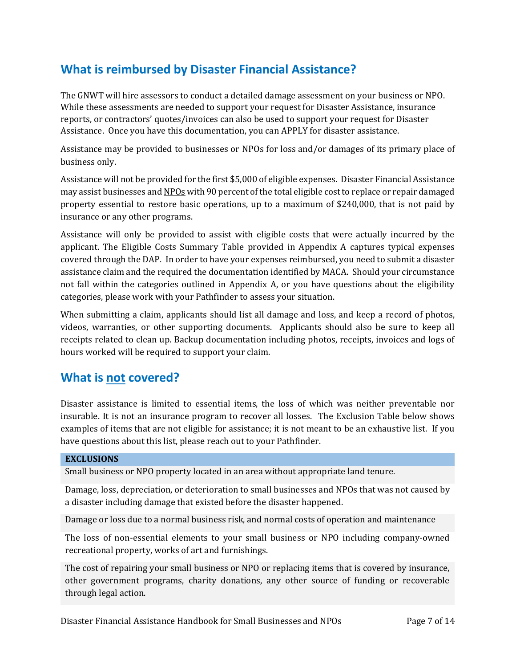## <span id="page-6-0"></span>**What is reimbursed by Disaster Financial Assistance?**

The GNWT will hire assessors to conduct a detailed damage assessment on your business or NPO. While these assessments are needed to support your request for Disaster Assistance, insurance reports, or contractors' quotes/invoices can also be used to support your request for Disaster Assistance. Once you have this documentation, you can APPLY for disaster assistance.

Assistance may be provided to businesses or NPOs for loss and/or damages of its primary place of business only.

Assistance will not be provided for the first \$5,000 of eligible expenses. Disaster Financial Assistance may assist businesses and NPOs with 90 percent of the total eligible cost to replace or repair damaged property essential to restore basic operations, up to a maximum of \$240,000, that is not paid by insurance or any other programs.

Assistance will only be provided to assist with eligible costs that were actually incurred by the applicant. The Eligible Costs Summary Table provided in Appendix A captures typical expenses covered through the DAP. In order to have your expenses reimbursed, you need to submit a disaster assistance claim and the required the documentation identified by MACA. Should your circumstance not fall within the categories outlined in Appendix A, or you have questions about the eligibility categories, please work with your Pathfinder to assess your situation.

When submitting a claim, applicants should list all damage and loss, and keep a record of photos, videos, warranties, or other supporting documents. Applicants should also be sure to keep all receipts related to clean up. Backup documentation including photos, receipts, invoices and logs of hours worked will be required to support your claim.

### <span id="page-6-1"></span>**What is not covered?**

Disaster assistance is limited to essential items, the loss of which was neither preventable nor insurable. It is not an insurance program to recover all losses. The Exclusion Table below shows examples of items that are not eligible for assistance; it is not meant to be an exhaustive list. If you have questions about this list, please reach out to your Pathfinder.

#### **EXCLUSIONS**

Small business or NPO property located in an area without appropriate land tenure.

Damage, loss, depreciation, or deterioration to small businesses and NPOs that was not caused by a disaster including damage that existed before the disaster happened.

Damage or loss due to a normal business risk, and normal costs of operation and maintenance

The loss of non-essential elements to your small business or NPO including company-owned recreational property, works of art and furnishings.

The cost of repairing your small business or NPO or replacing items that is covered by insurance, other government programs, charity donations, any other source of funding or recoverable through legal action.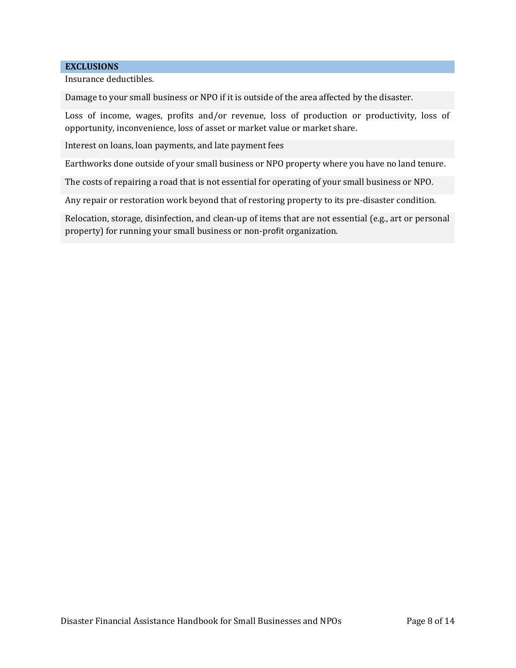#### **EXCLUSIONS**

Insurance deductibles.

Damage to your small business or NPO if it is outside of the area affected by the disaster.

Loss of income, wages, profits and/or revenue, loss of production or productivity, loss of opportunity, inconvenience, loss of asset or market value or market share.

Interest on loans, loan payments, and late payment fees

Earthworks done outside of your small business or NPO property where you have no land tenure.

The costs of repairing a road that is not essential for operating of your small business or NPO.

Any repair or restoration work beyond that of restoring property to its pre-disaster condition.

<span id="page-7-0"></span>Relocation, storage, disinfection, and clean-up of items that are not essential (e.g., art or personal property) for running your small business or non-profit organization.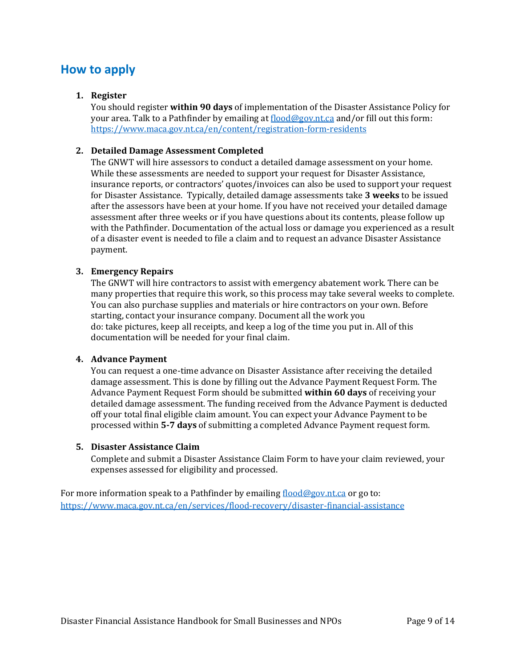### **How to apply**

#### **1. Register**

You should register **within 90 days** of implementation of the Disaster Assistance Policy for your area. Talk to a Pathfinder by emailing at [flood@gov.nt.ca](mailto:flood@gov.nt.ca) and/or fill out this form: <https://www.maca.gov.nt.ca/en/content/registration-form-residents>

#### **2. Detailed Damage Assessment Completed**

The GNWT will hire assessors to conduct a detailed damage assessment on your home. While these assessments are needed to support your request for Disaster Assistance, insurance reports, or contractors' quotes/invoices can also be used to support your request for Disaster Assistance. Typically, detailed damage assessments take **3 weeks** to be issued after the assessors have been at your home. If you have not received your detailed damage assessment after three weeks or if you have questions about its contents, please follow up with the Pathfinder. Documentation of the actual loss or damage you experienced as a result of a disaster event is needed to file a claim and to request an advance Disaster Assistance payment.

#### **3. Emergency Repairs**

The GNWT will hire contractors to assist with emergency abatement work. There can be many properties that require this work, so this process may take several weeks to complete. You can also purchase supplies and materials or hire contractors on your own. Before starting, contact your insurance company. Document all the work you do: take pictures, keep all receipts, and keep a log of the time you put in. All of this documentation will be needed for your final claim.

#### **4. Advance Payment**

You can request a one-time advance on Disaster Assistance after receiving the detailed damage assessment. This is done by filling out the Advance Payment Request Form. The Advance Payment Request Form should be submitted **within 60 days** of receiving your detailed damage assessment. The funding received from the Advance Payment is deducted off your total final eligible claim amount. You can expect your Advance Payment to be processed within **5-7 days** of submitting a completed Advance Payment request form.

#### **5. Disaster Assistance Claim**

Complete and submit a Disaster Assistance Claim Form to have your claim reviewed, your expenses assessed for eligibility and processed.

<span id="page-8-0"></span>For more information speak to a Pathfinder by emailing  $f_{\text{load}}@gov.n.t.ca$  or go to: <https://www.maca.gov.nt.ca/en/services/flood-recovery/disaster-financial-assistance>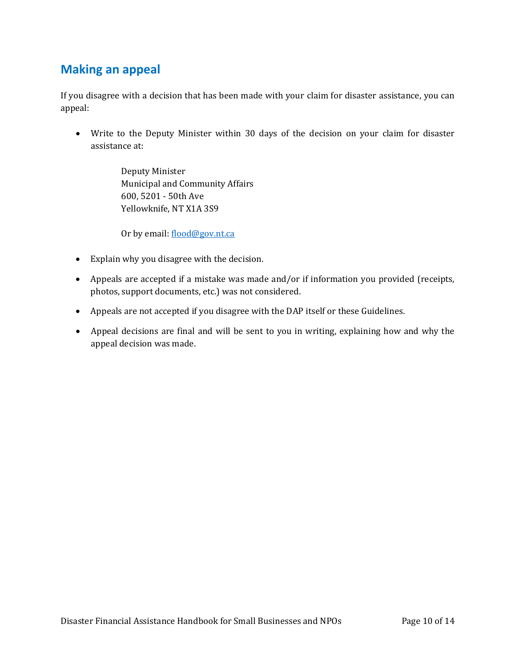### **Making an appeal**

If you disagree with a decision that has been made with your claim for disaster assistance, you can appeal:

• Write to the Deputy Minister within 30 days of the decision on your claim for disaster assistance at:

> Deputy Minister Municipal and Community Affairs 600, 5201 - 50th Ave Yellowknife, NT X1A 3S9

Or by email: [flood@gov.nt.ca](mailto:flood@gov.nt.ca)

- Explain why you disagree with the decision.
- Appeals are accepted if a mistake was made and/or if information you provided (receipts, photos, support documents, etc.) was not considered.
- Appeals are not accepted if you disagree with the DAP itself or these Guidelines.
- Appeal decisions are final and will be sent to you in writing, explaining how and why the appeal decision was made.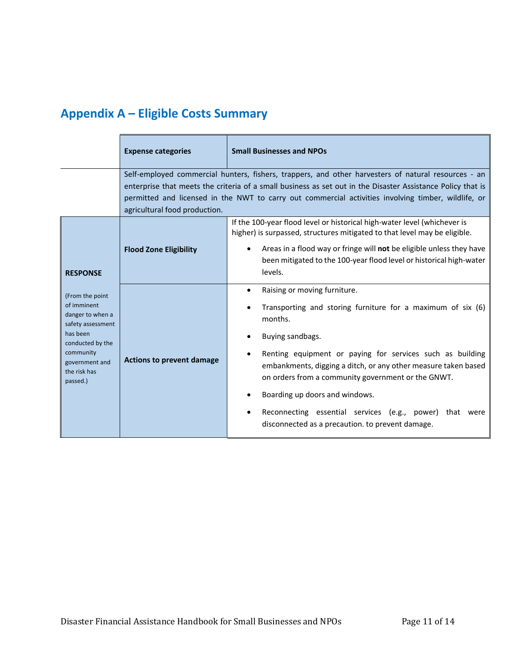# <span id="page-10-0"></span>**Appendix A – Eligible Costs Summary**

|                                                                                                                                                                                       | <b>Expense categories</b>        | <b>Small Businesses and NPOs</b>                                                                                                                                                                                                                                                                                                                                                                                                                                              |
|---------------------------------------------------------------------------------------------------------------------------------------------------------------------------------------|----------------------------------|-------------------------------------------------------------------------------------------------------------------------------------------------------------------------------------------------------------------------------------------------------------------------------------------------------------------------------------------------------------------------------------------------------------------------------------------------------------------------------|
|                                                                                                                                                                                       | agricultural food production.    | Self-employed commercial hunters, fishers, trappers, and other harvesters of natural resources - an<br>enterprise that meets the criteria of a small business as set out in the Disaster Assistance Policy that is<br>permitted and licensed in the NWT to carry out commercial activities involving timber, wildlife, or                                                                                                                                                     |
| <b>RESPONSE</b><br>(From the point<br>of imminent<br>danger to when a<br>safety assessment<br>has been<br>conducted by the<br>community<br>government and<br>the risk has<br>passed.) | <b>Flood Zone Eligibility</b>    | If the 100-year flood level or historical high-water level (whichever is<br>higher) is surpassed, structures mitigated to that level may be eligible.<br>Areas in a flood way or fringe will not be eligible unless they have<br>been mitigated to the 100-year flood level or historical high-water<br>levels.                                                                                                                                                               |
|                                                                                                                                                                                       | <b>Actions to prevent damage</b> | Raising or moving furniture.<br>$\bullet$<br>Transporting and storing furniture for a maximum of six (6)<br>months.<br>Buying sandbags.<br>Renting equipment or paying for services such as building<br>embankments, digging a ditch, or any other measure taken based<br>on orders from a community government or the GNWT.<br>Boarding up doors and windows.<br>Reconnecting essential services (e.g., power) that were<br>disconnected as a precaution. to prevent damage. |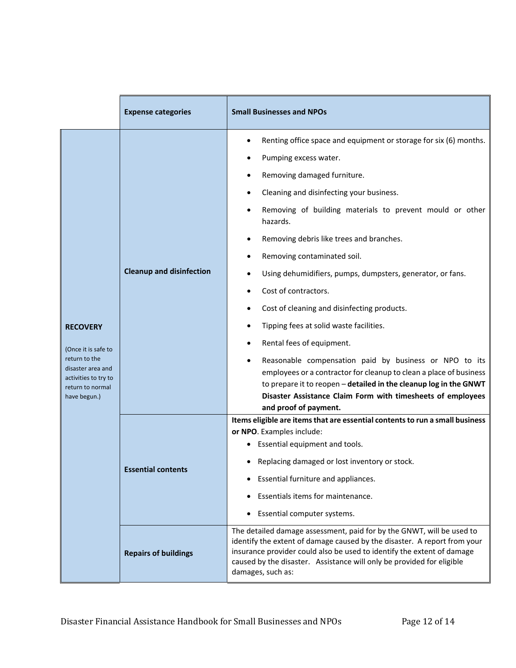|                                                                                                                                          | <b>Expense categories</b>       | <b>Small Businesses and NPOs</b>                                                                                                                                                                                                                                                                                                                                                                                                                                                                                                                                                                                                                                                                                                                                                                                                   |
|------------------------------------------------------------------------------------------------------------------------------------------|---------------------------------|------------------------------------------------------------------------------------------------------------------------------------------------------------------------------------------------------------------------------------------------------------------------------------------------------------------------------------------------------------------------------------------------------------------------------------------------------------------------------------------------------------------------------------------------------------------------------------------------------------------------------------------------------------------------------------------------------------------------------------------------------------------------------------------------------------------------------------|
| <b>RECOVERY</b><br>(Once it is safe to<br>return to the<br>disaster area and<br>activities to try to<br>return to normal<br>have begun.) | <b>Cleanup and disinfection</b> | Renting office space and equipment or storage for six (6) months.<br>Pumping excess water.<br>Removing damaged furniture.<br>Cleaning and disinfecting your business.<br>Removing of building materials to prevent mould or other<br>hazards.<br>Removing debris like trees and branches.<br>Removing contaminated soil.<br>Using dehumidifiers, pumps, dumpsters, generator, or fans.<br>Cost of contractors.<br>Cost of cleaning and disinfecting products.<br>Tipping fees at solid waste facilities.<br>Rental fees of equipment.<br>Reasonable compensation paid by business or NPO to its<br>employees or a contractor for cleanup to clean a place of business<br>to prepare it to reopen - detailed in the cleanup log in the GNWT<br>Disaster Assistance Claim Form with timesheets of employees<br>and proof of payment. |
|                                                                                                                                          | <b>Essential conten</b>         | Items eligible are items that are essential contents to run a small business<br>or NPO. Examples include:<br>Essential equipment and tools.<br>٠<br>Replacing damaged or lost inventory or stock.<br>Essential furniture and appliances.<br>Essentials items for maintenance.<br>Essential computer systems.                                                                                                                                                                                                                                                                                                                                                                                                                                                                                                                       |
|                                                                                                                                          | <b>Repairs of buildings</b>     | The detailed damage assessment, paid for by the GNWT, will be used to<br>identify the extent of damage caused by the disaster. A report from your<br>insurance provider could also be used to identify the extent of damage<br>caused by the disaster. Assistance will only be provided for eligible<br>damages, such as:                                                                                                                                                                                                                                                                                                                                                                                                                                                                                                          |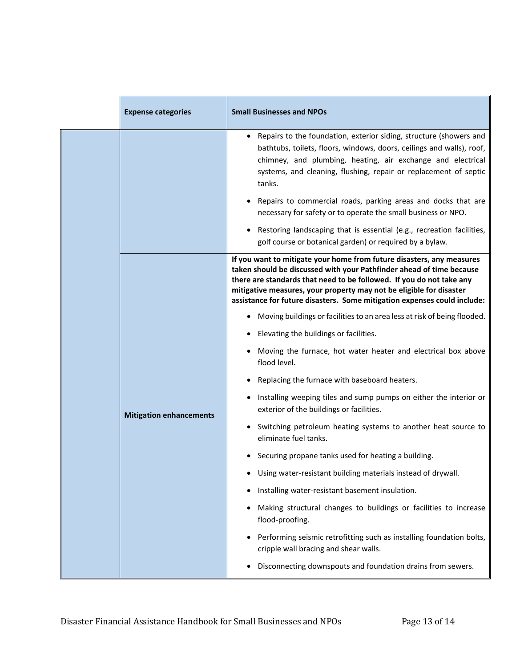|  | <b>Expense categories</b>      | <b>Small Businesses and NPOs</b>                                                                                                                                                                                                                                                                                                                                         |
|--|--------------------------------|--------------------------------------------------------------------------------------------------------------------------------------------------------------------------------------------------------------------------------------------------------------------------------------------------------------------------------------------------------------------------|
|  |                                | Repairs to the foundation, exterior siding, structure (showers and<br>bathtubs, toilets, floors, windows, doors, ceilings and walls), roof,<br>chimney, and plumbing, heating, air exchange and electrical<br>systems, and cleaning, flushing, repair or replacement of septic<br>tanks.                                                                                 |
|  |                                | Repairs to commercial roads, parking areas and docks that are<br>necessary for safety or to operate the small business or NPO.                                                                                                                                                                                                                                           |
|  |                                | Restoring landscaping that is essential (e.g., recreation facilities,<br>golf course or botanical garden) or required by a bylaw.                                                                                                                                                                                                                                        |
|  |                                | If you want to mitigate your home from future disasters, any measures<br>taken should be discussed with your Pathfinder ahead of time because<br>there are standards that need to be followed. If you do not take any<br>mitigative measures, your property may not be eligible for disaster<br>assistance for future disasters. Some mitigation expenses could include: |
|  |                                | Moving buildings or facilities to an area less at risk of being flooded.                                                                                                                                                                                                                                                                                                 |
|  |                                | Elevating the buildings or facilities.                                                                                                                                                                                                                                                                                                                                   |
|  |                                | Moving the furnace, hot water heater and electrical box above<br>flood level.                                                                                                                                                                                                                                                                                            |
|  |                                | Replacing the furnace with baseboard heaters.                                                                                                                                                                                                                                                                                                                            |
|  | <b>Mitigation enhancements</b> | Installing weeping tiles and sump pumps on either the interior or<br>exterior of the buildings or facilities.                                                                                                                                                                                                                                                            |
|  |                                | Switching petroleum heating systems to another heat source to<br>eliminate fuel tanks.                                                                                                                                                                                                                                                                                   |
|  |                                | Securing propane tanks used for heating a building.                                                                                                                                                                                                                                                                                                                      |
|  |                                | Using water-resistant building materials instead of drywall.                                                                                                                                                                                                                                                                                                             |
|  |                                | Installing water-resistant basement insulation.                                                                                                                                                                                                                                                                                                                          |
|  |                                | Making structural changes to buildings or facilities to increase<br>flood-proofing.                                                                                                                                                                                                                                                                                      |
|  |                                | Performing seismic retrofitting such as installing foundation bolts,<br>cripple wall bracing and shear walls.                                                                                                                                                                                                                                                            |
|  |                                | Disconnecting downspouts and foundation drains from sewers.                                                                                                                                                                                                                                                                                                              |